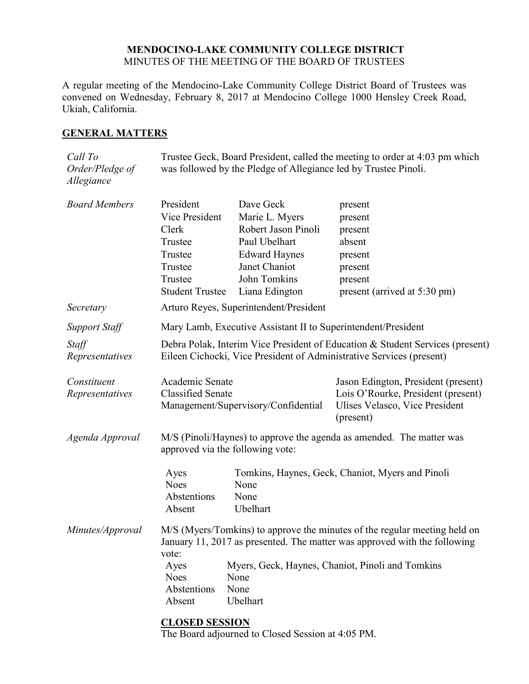#### **MENDOCINO-LAKE COMMUNITY COLLEGE DISTRICT** MINUTES OF THE MEETING OF THE BOARD OF TRUSTEES

A regular meeting of the Mendocino-Lake Community College District Board of Trustees was convened on Wednesday, February 8, 2017 at Mendocino College 1000 Hensley Creek Road, Ukiah, California.

### **GENERAL MATTERS**

| Call To<br>Order/Pledge of<br>Allegiance | Trustee Geck, Board President, called the meeting to order at 4:03 pm which<br>was followed by the Pledge of Allegiance led by Trustee Pinoli.                  |                                                                                             |                                                                                                                          |  |
|------------------------------------------|-----------------------------------------------------------------------------------------------------------------------------------------------------------------|---------------------------------------------------------------------------------------------|--------------------------------------------------------------------------------------------------------------------------|--|
| <b>Board Members</b>                     | President<br>Vice President<br>Clerk<br>Trustee<br>Trustee                                                                                                      | Dave Geck<br>Marie L. Myers<br>Robert Jason Pinoli<br>Paul Ubelhart<br><b>Edward Haynes</b> | present<br>present<br>present<br>absent<br>present                                                                       |  |
|                                          | Trustee                                                                                                                                                         | Janet Chaniot                                                                               | present                                                                                                                  |  |
|                                          | Trustee                                                                                                                                                         | John Tomkins                                                                                | present                                                                                                                  |  |
|                                          | <b>Student Trustee</b>                                                                                                                                          | Liana Edington                                                                              | present (arrived at 5:30 pm)                                                                                             |  |
| Secretary                                | Arturo Reyes, Superintendent/President                                                                                                                          |                                                                                             |                                                                                                                          |  |
| <b>Support Staff</b>                     | Mary Lamb, Executive Assistant II to Superintendent/President                                                                                                   |                                                                                             |                                                                                                                          |  |
| Staff<br>Representatives                 | Debra Polak, Interim Vice President of Education & Student Services (present)<br>Eileen Cichocki, Vice President of Administrative Services (present)           |                                                                                             |                                                                                                                          |  |
| Constituent<br>Representatives           | Academic Senate<br><b>Classified Senate</b><br>Management/Supervisory/Confidential                                                                              |                                                                                             | Jason Edington, President (present)<br>Lois O'Rourke, President (present)<br>Ulises Velasco, Vice President<br>(present) |  |
| Agenda Approval                          | M/S (Pinoli/Haynes) to approve the agenda as amended. The matter was<br>approved via the following vote:                                                        |                                                                                             |                                                                                                                          |  |
|                                          | Tomkins, Haynes, Geck, Chaniot, Myers and Pinoli<br>Ayes<br><b>Noes</b><br>None<br>Abstentions<br>None<br>Ubelhart<br>Absent                                    |                                                                                             |                                                                                                                          |  |
| Minutes/Approval                         | M/S (Myers/Tomkins) to approve the minutes of the regular meeting held on<br>January 11, 2017 as presented. The matter was approved with the following<br>vote: |                                                                                             |                                                                                                                          |  |
|                                          | Ayes<br><b>Noes</b><br>Abstentions<br>Absent                                                                                                                    | None<br>None<br>Ubelhart                                                                    | Myers, Geck, Haynes, Chaniot, Pinoli and Tomkins                                                                         |  |
|                                          |                                                                                                                                                                 |                                                                                             |                                                                                                                          |  |

## **CLOSED SESSION**

The Board adjourned to Closed Session at 4:05 PM.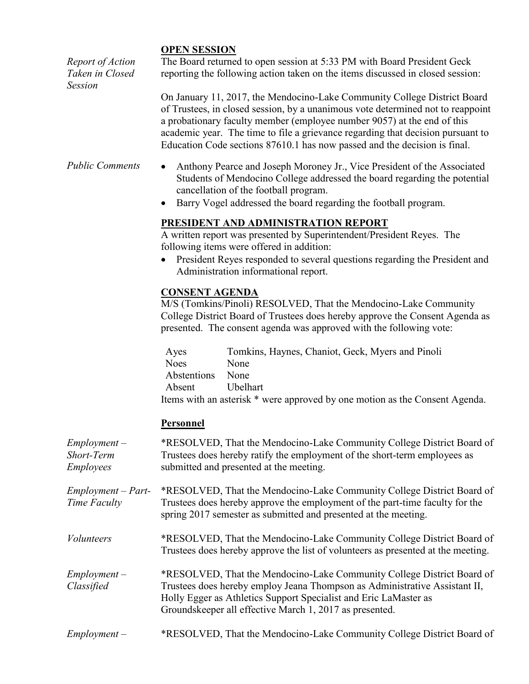### **OPEN SESSION**

*Report of Action Taken in Closed Session* The Board returned to open session at 5:33 PM with Board President Geck reporting the following action taken on the items discussed in closed session: On January 11, 2017, the Mendocino-Lake Community College District Board of Trustees, in closed session, by a unanimous vote determined not to reappoint a probationary faculty member (employee number 9057) at the end of this academic year. The time to file a grievance regarding that decision pursuant to Education Code sections 87610.1 has now passed and the decision is final. *Public Comments* • Anthony Pearce and Joseph Moroney Jr., Vice President of the Associated Students of Mendocino College addressed the board regarding the potential cancellation of the football program. Barry Vogel addressed the board regarding the football program. **PRESIDENT AND ADMINISTRATION REPORT** A written report was presented by Superintendent/President Reyes. The following items were offered in addition: President Reyes responded to several questions regarding the President and Administration informational report. **CONSENT AGENDA** M/S (Tomkins/Pinoli) RESOLVED, That the Mendocino-Lake Community College District Board of Trustees does hereby approve the Consent Agenda as presented. The consent agenda was approved with the following vote: Ayes Tomkins, Haynes, Chaniot, Geck, Myers and Pinoli Noes None Abstentions None Absent Ubelhart Items with an asterisk \* were approved by one motion as the Consent Agenda. **Personnel** *Employment – Short-Term Employees* \*RESOLVED, That the Mendocino-Lake Community College District Board of Trustees does hereby ratify the employment of the short-term employees as submitted and presented at the meeting. *Employment – Part-Time Faculty* \*RESOLVED, That the Mendocino-Lake Community College District Board of Trustees does hereby approve the employment of the part-time faculty for the spring 2017 semester as submitted and presented at the meeting. *Volunteers* \*RESOLVED, That the Mendocino-Lake Community College District Board of

*Employment – Classified* \*RESOLVED, That the Mendocino-Lake Community College District Board of Trustees does hereby employ Jeana Thompson as Administrative Assistant II, Holly Egger as Athletics Support Specialist and Eric LaMaster as Groundskeeper all effective March 1, 2017 as presented.

Trustees does hereby approve the list of volunteers as presented at the meeting.

*Employment –* \*RESOLVED, That the Mendocino-Lake Community College District Board of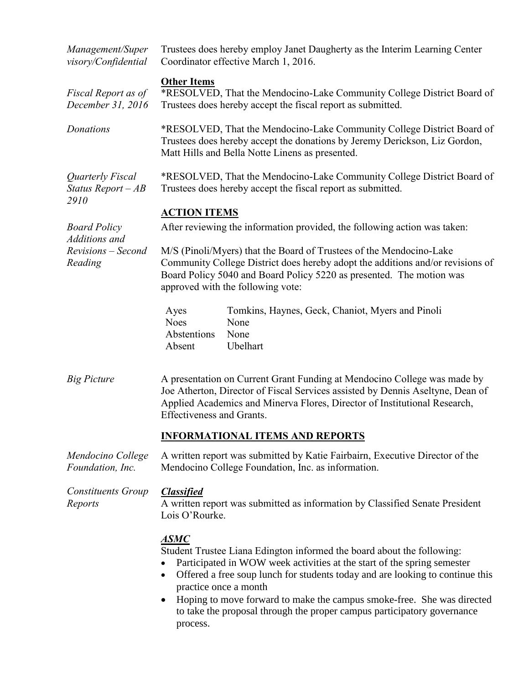| Management/Super<br>visory/Confidential         | Trustees does hereby employ Janet Daugherty as the Interim Learning Center<br>Coordinator effective March 1, 2016.                                                                                                                                                                                                                                                                                                                          |  |  |  |
|-------------------------------------------------|---------------------------------------------------------------------------------------------------------------------------------------------------------------------------------------------------------------------------------------------------------------------------------------------------------------------------------------------------------------------------------------------------------------------------------------------|--|--|--|
| Fiscal Report as of<br>December 31, 2016        | <b>Other Items</b><br>*RESOLVED, That the Mendocino-Lake Community College District Board of<br>Trustees does hereby accept the fiscal report as submitted.                                                                                                                                                                                                                                                                                 |  |  |  |
| Donations                                       | *RESOLVED, That the Mendocino-Lake Community College District Board of<br>Trustees does hereby accept the donations by Jeremy Derickson, Liz Gordon,<br>Matt Hills and Bella Notte Linens as presented.                                                                                                                                                                                                                                     |  |  |  |
| Quarterly Fiscal<br>Status Report $-AB$<br>2910 | *RESOLVED, That the Mendocino-Lake Community College District Board of<br>Trustees does hereby accept the fiscal report as submitted.                                                                                                                                                                                                                                                                                                       |  |  |  |
|                                                 | <b>ACTION ITEMS</b>                                                                                                                                                                                                                                                                                                                                                                                                                         |  |  |  |
| <b>Board Policy</b>                             | After reviewing the information provided, the following action was taken:                                                                                                                                                                                                                                                                                                                                                                   |  |  |  |
| Additions and<br>Revisions - Second<br>Reading  | M/S (Pinoli/Myers) that the Board of Trustees of the Mendocino-Lake<br>Community College District does hereby adopt the additions and/or revisions of<br>Board Policy 5040 and Board Policy 5220 as presented. The motion was<br>approved with the following vote:                                                                                                                                                                          |  |  |  |
|                                                 | Tomkins, Haynes, Geck, Chaniot, Myers and Pinoli<br>Ayes<br><b>Noes</b><br>None<br>Abstentions<br>None<br>Ubelhart<br>Absent                                                                                                                                                                                                                                                                                                                |  |  |  |
| <b>Big Picture</b>                              | A presentation on Current Grant Funding at Mendocino College was made by<br>Joe Atherton, Director of Fiscal Services assisted by Dennis Aseltyne, Dean of<br>Applied Academics and Minerva Flores, Director of Institutional Research,<br><b>Effectiveness and Grants.</b>                                                                                                                                                                 |  |  |  |
|                                                 | <b>INFORMATIONAL ITEMS AND REPORTS</b>                                                                                                                                                                                                                                                                                                                                                                                                      |  |  |  |
| Mendocino College<br>Foundation, Inc.           | A written report was submitted by Katie Fairbairn, Executive Director of the<br>Mendocino College Foundation, Inc. as information.                                                                                                                                                                                                                                                                                                          |  |  |  |
| Constituents Group<br>Reports                   | <b>Classified</b><br>A written report was submitted as information by Classified Senate President<br>Lois O'Rourke.                                                                                                                                                                                                                                                                                                                         |  |  |  |
|                                                 | <u>ASMC</u><br>Student Trustee Liana Edington informed the board about the following:<br>Participated in WOW week activities at the start of the spring semester<br>Offered a free soup lunch for students today and are looking to continue this<br>practice once a month<br>Hoping to move forward to make the campus smoke-free. She was directed<br>to take the proposal through the proper campus participatory governance<br>process. |  |  |  |